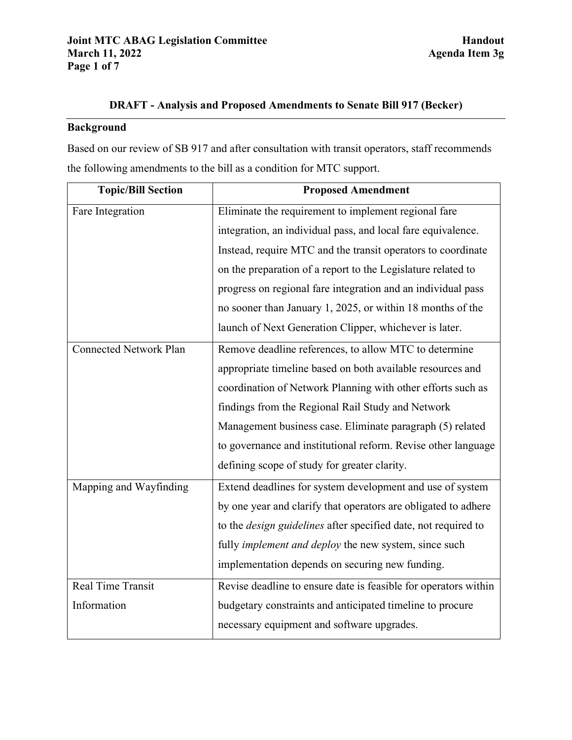# **DRAFT - Analysis and Proposed Amendments to Senate Bill 917 (Becker)**

# **Background**

Based on our review of SB 917 and after consultation with transit operators, staff recommends the following amendments to the bill as a condition for MTC support.

| <b>Topic/Bill Section</b>     | <b>Proposed Amendment</b>                                             |
|-------------------------------|-----------------------------------------------------------------------|
| Fare Integration              | Eliminate the requirement to implement regional fare                  |
|                               | integration, an individual pass, and local fare equivalence.          |
|                               | Instead, require MTC and the transit operators to coordinate          |
|                               | on the preparation of a report to the Legislature related to          |
|                               | progress on regional fare integration and an individual pass          |
|                               | no sooner than January 1, 2025, or within 18 months of the            |
|                               | launch of Next Generation Clipper, whichever is later.                |
| <b>Connected Network Plan</b> | Remove deadline references, to allow MTC to determine                 |
|                               | appropriate timeline based on both available resources and            |
|                               | coordination of Network Planning with other efforts such as           |
|                               | findings from the Regional Rail Study and Network                     |
|                               | Management business case. Eliminate paragraph (5) related             |
|                               | to governance and institutional reform. Revise other language         |
|                               | defining scope of study for greater clarity.                          |
| Mapping and Wayfinding        | Extend deadlines for system development and use of system             |
|                               | by one year and clarify that operators are obligated to adhere        |
|                               | to the <i>design guidelines</i> after specified date, not required to |
|                               | fully <i>implement and deploy</i> the new system, since such          |
|                               | implementation depends on securing new funding.                       |
| <b>Real Time Transit</b>      | Revise deadline to ensure date is feasible for operators within       |
| Information                   | budgetary constraints and anticipated timeline to procure             |
|                               | necessary equipment and software upgrades.                            |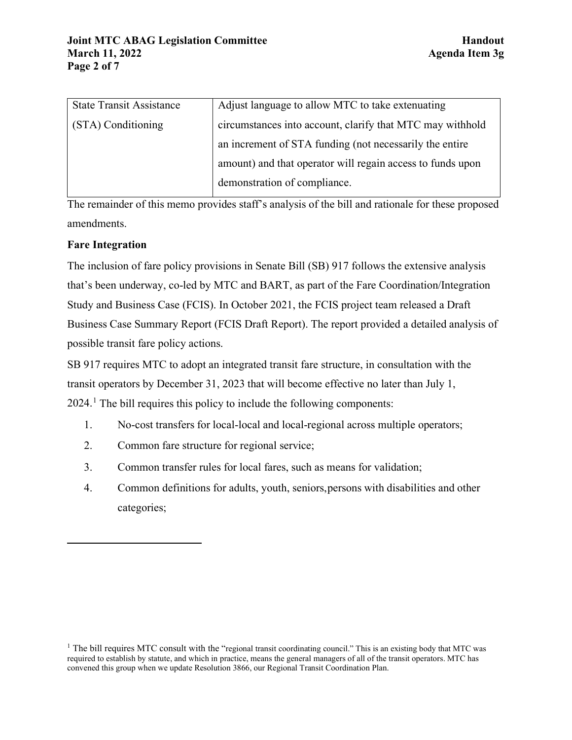| <b>State Transit Assistance</b> | Adjust language to allow MTC to take extenuating           |
|---------------------------------|------------------------------------------------------------|
| (STA) Conditioning              | circumstances into account, clarify that MTC may withhold  |
|                                 | an increment of STA funding (not necessarily the entire    |
|                                 | amount) and that operator will regain access to funds upon |
|                                 | demonstration of compliance.                               |

The remainder of this memo provides staff's analysis of the bill and rationale for these proposed amendments.

## **Fare Integration**

The inclusion of fare policy provisions in Senate Bill (SB) 917 follows the extensive analysis that's been underway, co-led by MTC and BART, as part of the Fare Coordination/Integration Study and Business Case (FCIS). In October 2021, the FCIS project team released a Draft Business Case Summary Report (FCIS Draft Report). The report provided a detailed analysis of possible transit fare policy actions.

SB 917 requires MTC to adopt an integrated transit fare structure, in consultation with the transit operators by December 31, 2023 that will become effective no later than July 1,  $2024<sup>1</sup>$  $2024<sup>1</sup>$  $2024<sup>1</sup>$ . The bill requires this policy to include the following components:

- 1. No-cost transfers for local-local and local-regional across multiple operators;
- 2. Common fare structure for regional service;
- 3. Common transfer rules for local fares, such as means for validation;
- 4. Common definitions for adults, youth, seniors, persons with disabilities and other categories;

<span id="page-1-0"></span><sup>&</sup>lt;sup>1</sup> The bill requires MTC consult with the "regional transit coordinating council." This is an existing body that MTC was required to establish by statute, and which in practice, means the general managers of all of the transit operators. MTC has convened this group when we update Resolution 3866, our Regional Transit Coordination Plan.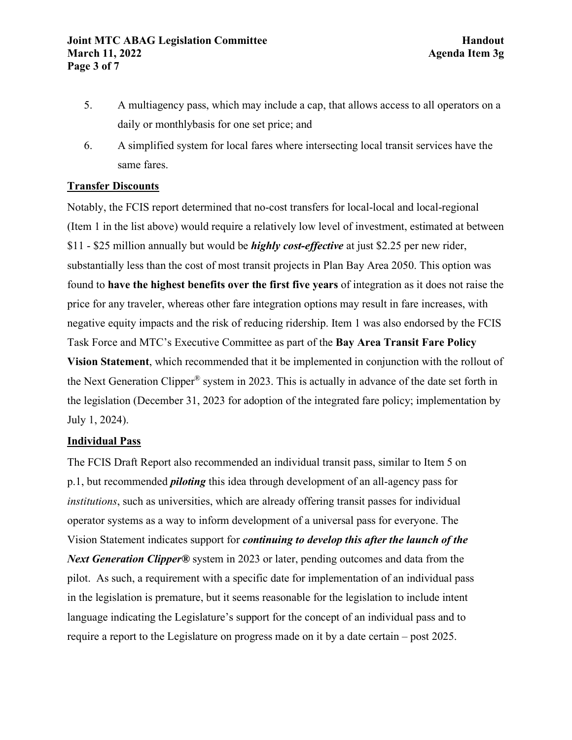- 5. A multiagency pass, which may include a cap, that allows access to all operators on a daily or monthlybasis for one set price; and
- 6. A simplified system for local fares where intersecting local transit services have the same fares.

## **Transfer Discounts**

Notably, the FCIS report determined that no-cost transfers for local-local and local-regional (Item 1 in the list above) would require a relatively low level of investment, estimated at between \$11 - \$25 million annually but would be *highly cost-effective* at just \$2.25 per new rider, substantially less than the cost of most transit projects in Plan Bay Area 2050. This option was found to **have the highest benefits over the first five years** of integration as it does not raise the price for any traveler, whereas other fare integration options may result in fare increases, with negative equity impacts and the risk of reducing ridership. Item 1 was also endorsed by the FCIS Task Force and MTC's Executive Committee as part of the **Bay Area Transit Fare Policy Vision Statement**, which recommended that it be implemented in conjunction with the rollout of the Next Generation Clipper® system in 2023. This is actually in advance of the date set forth in the legislation (December 31, 2023 for adoption of the integrated fare policy; implementation by July 1, 2024).

# **Individual Pass**

The FCIS Draft Report also recommended an individual transit pass, similar to Item 5 on p.1, but recommended *piloting* this idea through development of an all-agency pass for *institutions*, such as universities, which are already offering transit passes for individual operator systems as a way to inform development of a universal pass for everyone. The Vision Statement indicates support for *continuing to develop this after the launch of the Next Generation Clipper®* system in 2023 or later, pending outcomes and data from the pilot. As such, a requirement with a specific date for implementation of an individual pass in the legislation is premature, but it seems reasonable for the legislation to include intent language indicating the Legislature's support for the concept of an individual pass and to require a report to the Legislature on progress made on it by a date certain – post 2025.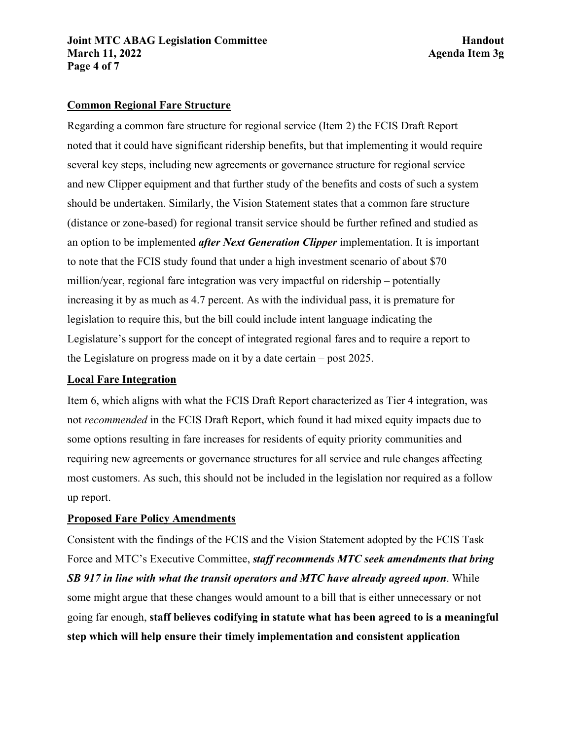### **Common Regional Fare Structure**

Regarding a common fare structure for regional service (Item 2) the FCIS Draft Report noted that it could have significant ridership benefits, but that implementing it would require several key steps, including new agreements or governance structure for regional service and new Clipper equipment and that further study of the benefits and costs of such a system should be undertaken. Similarly, the Vision Statement states that a common fare structure (distance or zone-based) for regional transit service should be further refined and studied as an option to be implemented *after Next Generation Clipper* implementation. It is important to note that the FCIS study found that under a high investment scenario of about \$70 million/year, regional fare integration was very impactful on ridership – potentially increasing it by as much as 4.7 percent. As with the individual pass, it is premature for legislation to require this, but the bill could include intent language indicating the Legislature's support for the concept of integrated regional fares and to require a report to the Legislature on progress made on it by a date certain – post 2025.

#### **Local Fare Integration**

Item 6, which aligns with what the FCIS Draft Report characterized as Tier 4 integration, was not *recommended* in the FCIS Draft Report, which found it had mixed equity impacts due to some options resulting in fare increases for residents of equity priority communities and requiring new agreements or governance structures for all service and rule changes affecting most customers. As such, this should not be included in the legislation nor required as a follow up report.

#### **Proposed Fare Policy Amendments**

Consistent with the findings of the FCIS and the Vision Statement adopted by the FCIS Task Force and MTC's Executive Committee, *staff recommends MTC seek amendments that bring SB 917 in line with what the transit operators and MTC have already agreed upon*. While some might argue that these changes would amount to a bill that is either unnecessary or not going far enough, **staff believes codifying in statute what has been agreed to is a meaningful step which will help ensure their timely implementation and consistent application**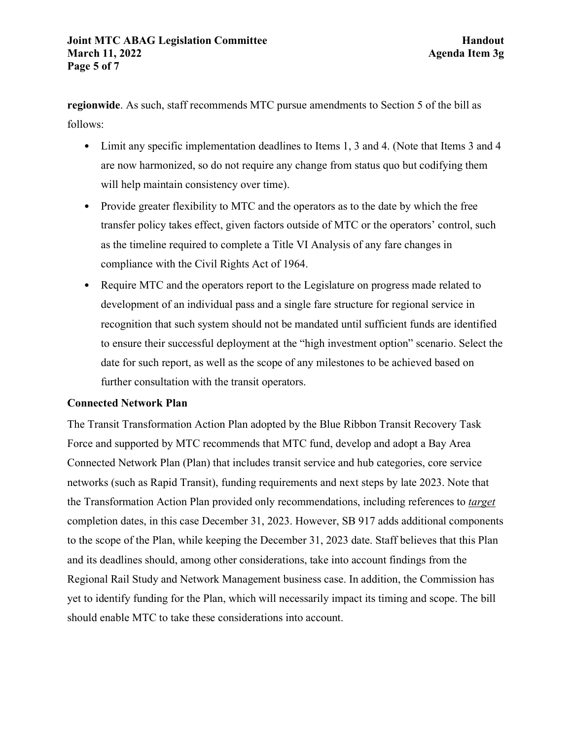**regionwide**. As such, staff recommends MTC pursue amendments to Section 5 of the bill as follows:

- Limit any specific implementation deadlines to Items 1, 3 and 4. (Note that Items 3 and 4 are now harmonized, so do not require any change from status quo but codifying them will help maintain consistency over time).
- Provide greater flexibility to MTC and the operators as to the date by which the free transfer policy takes effect, given factors outside of MTC or the operators' control, such as the timeline required to complete a Title VI Analysis of any fare changes in compliance with the Civil Rights Act of 1964.
- Require MTC and the operators report to the Legislature on progress made related to development of an individual pass and a single fare structure for regional service in recognition that such system should not be mandated until sufficient funds are identified to ensure their successful deployment at the "high investment option" scenario. Select the date for such report, as well as the scope of any milestones to be achieved based on further consultation with the transit operators.

#### **Connected Network Plan**

The Transit Transformation Action Plan adopted by the Blue Ribbon Transit Recovery Task Force and supported by MTC recommends that MTC fund, develop and adopt a Bay Area Connected Network Plan (Plan) that includes transit service and hub categories, core service networks (such as Rapid Transit), funding requirements and next steps by late 2023. Note that the Transformation Action Plan provided only recommendations, including references to *target* completion dates, in this case December 31, 2023. However, SB 917 adds additional components to the scope of the Plan, while keeping the December 31, 2023 date. Staff believes that this Plan and its deadlines should, among other considerations, take into account findings from the Regional Rail Study and Network Management business case. In addition, the Commission has yet to identify funding for the Plan, which will necessarily impact its timing and scope. The bill should enable MTC to take these considerations into account.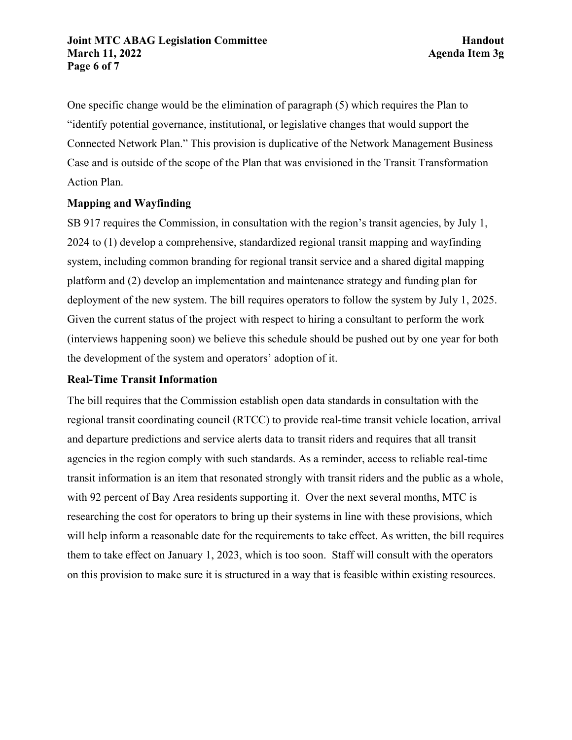One specific change would be the elimination of paragraph (5) which requires the Plan to "identify potential governance, institutional, or legislative changes that would support the Connected Network Plan." This provision is duplicative of the Network Management Business Case and is outside of the scope of the Plan that was envisioned in the Transit Transformation Action Plan.

## **Mapping and Wayfinding**

SB 917 requires the Commission, in consultation with the region's transit agencies, by July 1, 2024 to (1) develop a comprehensive, standardized regional transit mapping and wayfinding system, including common branding for regional transit service and a shared digital mapping platform and (2) develop an implementation and maintenance strategy and funding plan for deployment of the new system. The bill requires operators to follow the system by July 1, 2025. Given the current status of the project with respect to hiring a consultant to perform the work (interviews happening soon) we believe this schedule should be pushed out by one year for both the development of the system and operators' adoption of it.

#### **Real-Time Transit Information**

The bill requires that the Commission establish open data standards in consultation with the regional transit coordinating council (RTCC) to provide real-time transit vehicle location, arrival and departure predictions and service alerts data to transit riders and requires that all transit agencies in the region comply with such standards. As a reminder, access to reliable real-time transit information is an item that resonated strongly with transit riders and the public as a whole, with 92 percent of Bay Area residents supporting it. Over the next several months, MTC is researching the cost for operators to bring up their systems in line with these provisions, which will help inform a reasonable date for the requirements to take effect. As written, the bill requires them to take effect on January 1, 2023, which is too soon. Staff will consult with the operators on this provision to make sure it is structured in a way that is feasible within existing resources.